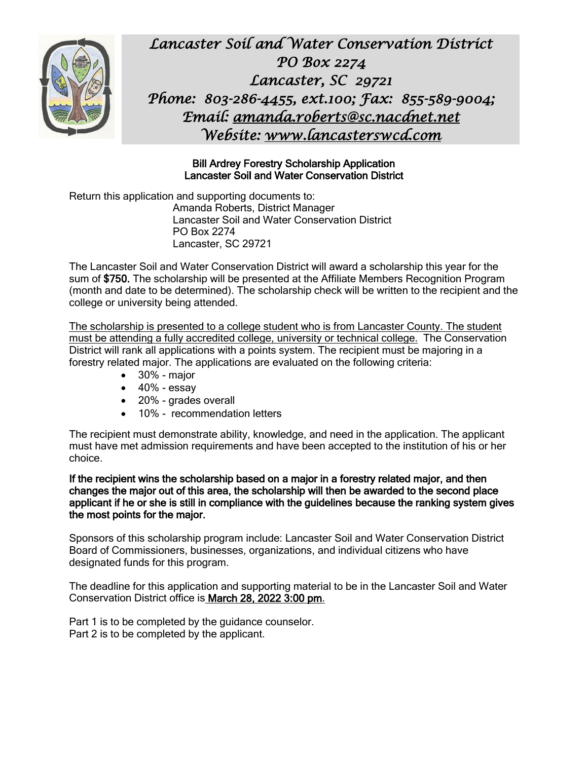

*Lancaster Soil and Water Conservation District PO Box 2274 Lancaster, SC 29721 Phone: 803-286-4455, ext.100; Fax: 855-589-9004; Email: [amanda.roberts@sc.nacdnet.net](mailto:amanda.roberts@sc.nacdnet.net)  Website: [www.lancasterswcd.com](http://www.lancasterswcd.com/)*

## Bill Ardrey Forestry Scholarship Application Lancaster Soil and Water Conservation District

Return this application and supporting documents to: Amanda Roberts, District Manager Lancaster Soil and Water Conservation District PO Box 2274 Lancaster, SC 29721

The Lancaster Soil and Water Conservation District will award a scholarship this year for the sum of \$750. The scholarship will be presented at the Affiliate Members Recognition Program (month and date to be determined). The scholarship check will be written to the recipient and the college or university being attended.

The scholarship is presented to a college student who is from Lancaster County. The student must be attending a fully accredited college, university or technical college. The Conservation District will rank all applications with a points system. The recipient must be majoring in a forestry related major. The applications are evaluated on the following criteria:

- 30% major
- $\bullet$  40% essay
- 20% grades overall
- 10% recommendation letters

The recipient must demonstrate ability, knowledge, and need in the application. The applicant must have met admission requirements and have been accepted to the institution of his or her choice.

If the recipient wins the scholarship based on a major in a forestry related major, and then changes the major out of this area, the scholarship will then be awarded to the second place applicant if he or she is still in compliance with the guidelines because the ranking system gives the most points for the major.

Sponsors of this scholarship program include: Lancaster Soil and Water Conservation District Board of Commissioners, businesses, organizations, and individual citizens who have designated funds for this program.

The deadline for this application and supporting material to be in the Lancaster Soil and Water Conservation District office is March 28, 2022 3:00 pm.

Part 1 is to be completed by the guidance counselor. Part 2 is to be completed by the applicant.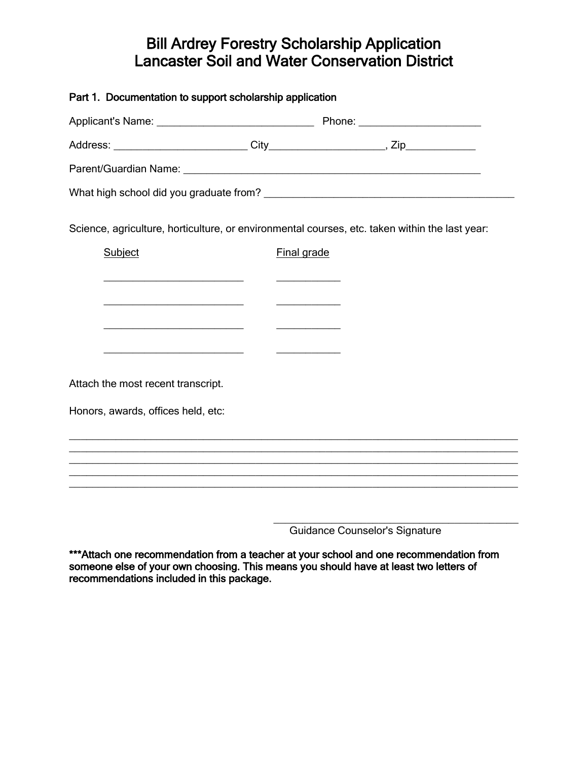## Bill Ardrey Forestry Scholarship Application Lancaster Soil and Water Conservation District

| Part 1. Documentation to support scholarship application                                       |                                                                                                                      |                                                                                  |
|------------------------------------------------------------------------------------------------|----------------------------------------------------------------------------------------------------------------------|----------------------------------------------------------------------------------|
|                                                                                                |                                                                                                                      |                                                                                  |
|                                                                                                |                                                                                                                      |                                                                                  |
|                                                                                                |                                                                                                                      |                                                                                  |
|                                                                                                |                                                                                                                      |                                                                                  |
| Science, agriculture, horticulture, or environmental courses, etc. taken within the last year: |                                                                                                                      |                                                                                  |
| Subject                                                                                        | Final grade                                                                                                          |                                                                                  |
|                                                                                                | <u> La Carlo Carlo Carlo Carlo Carlo Carlo Carlo Carlo Carlo Carlo Carlo Carlo Carlo Carlo Carlo Carlo Carlo Car</u> |                                                                                  |
|                                                                                                |                                                                                                                      |                                                                                  |
| <u> 1989 - Johann John Stein, fransk politik (d. 1989)</u>                                     | the control of the control of the control of                                                                         |                                                                                  |
|                                                                                                |                                                                                                                      |                                                                                  |
| Attach the most recent transcript.                                                             |                                                                                                                      |                                                                                  |
| Honors, awards, offices held, etc:                                                             |                                                                                                                      |                                                                                  |
|                                                                                                |                                                                                                                      |                                                                                  |
|                                                                                                |                                                                                                                      |                                                                                  |
|                                                                                                |                                                                                                                      | ,我们也不能在这里的时候,我们也不能在这里的时候,我们也不能会在这里,我们也不能会不能会不能会不能会不能会不能会不能会。""我们的是我们的,我们也不能会不能会不 |
|                                                                                                |                                                                                                                      |                                                                                  |
|                                                                                                |                                                                                                                      |                                                                                  |

Guidance Counselor's Signature

\*\*\*Attach one recommendation from a teacher at your school and one recommendation from someone else of your own choosing. This means you should have at least two letters of recommendations included in this package.